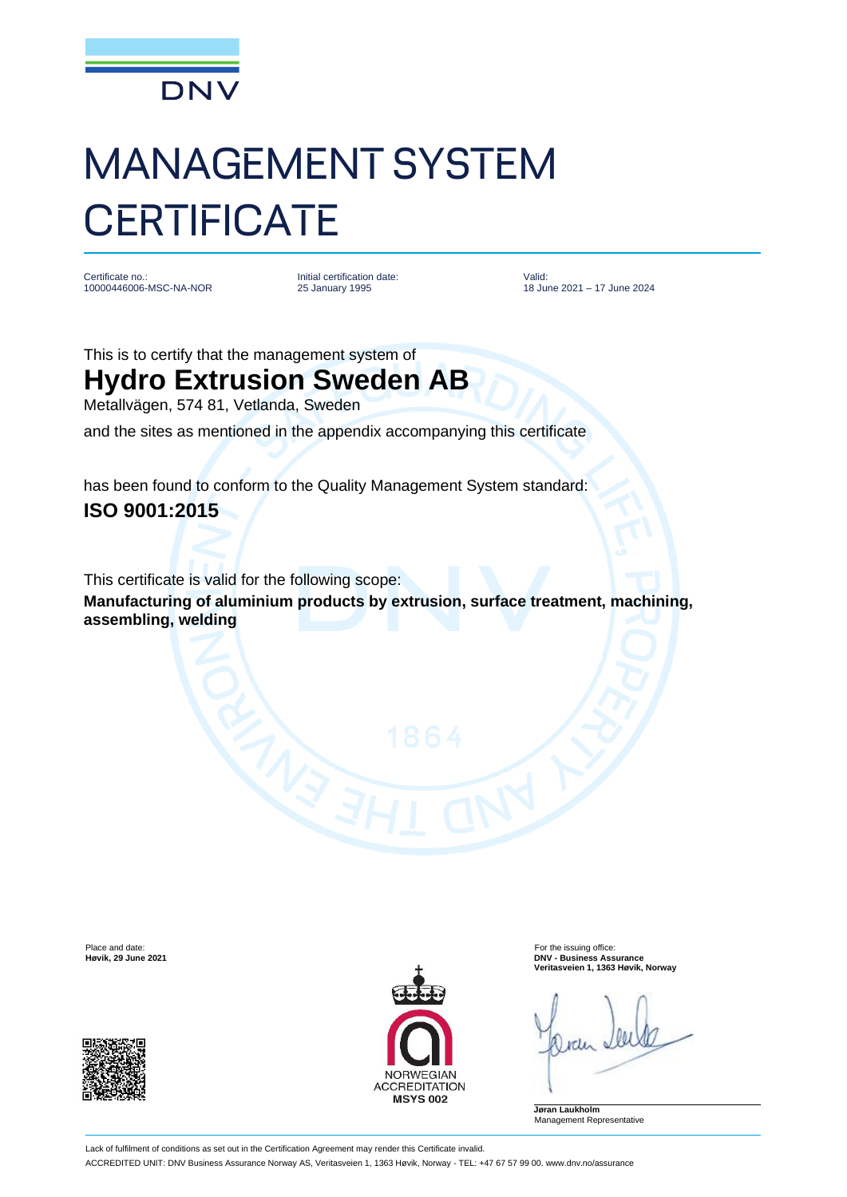

## MANAGEMENT SYSTEM **CERTIFICATE**

Certificate no.: 10000446006-MSC-NA-NOR Initial certification date: 25 January 1995

Valid: 18 June 2021 – 17 June 2024

This is to certify that the management system of

## **Hydro Extrusion Sweden AB**

Metallvägen, 574 81, Vetlanda, Sweden

and the sites as mentioned in the appendix accompanying this certificate

has been found to conform to the Quality Management System standard: **ISO 9001:2015**

This certificate is valid for the following scope:

**Manufacturing of aluminium products by extrusion, surface treatment, machining, assembling, welding**





Place and date:<br> **Place and date:** For the issuing office:<br> **Place and date:** For the issuing office:<br> **Phace and date:** For the issuing office: **Høvik, 29 June 2021 DNV - Business Assurance Veritasveien 1, 1363 Høvik, Norway**

**Jøran Laukholm** Management Representative

Lack of fulfilment of conditions as set out in the Certification Agreement may render this Certificate invalid. ACCREDITED UNIT: DNV Business Assurance Norway AS, Veritasveien 1, 1363 Høvik, Norway - TEL: +47 67 57 99 00. www.dnv.no/assurance